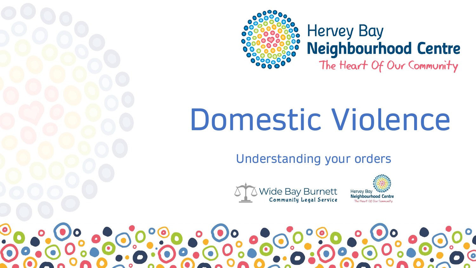



### **Hervey Bay Neighbourhood Centre**

The Heart Of Our Community

# Domestic Violence

Understanding your orders



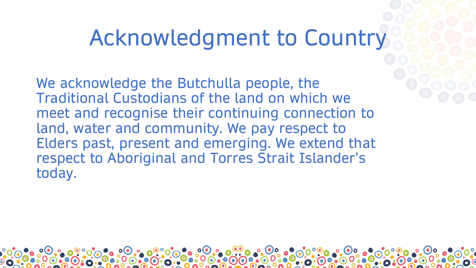### Acknowledgment to Country

We acknowledge the Butchulla people, the Traditional Custodians of the land on which we meet and recognise their continuing connection to land, water and community. We pay respect to Elders past, present and emerging. We extend that respect to Aboriginal and Torres Strait Islander's today.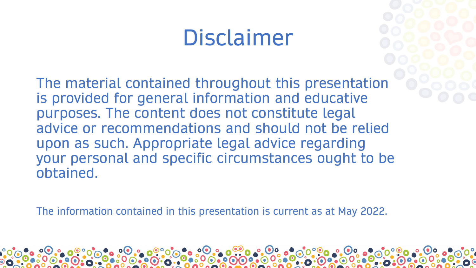### Disclaimer

The material contained throughout this presentation is provided for general information and educative purposes. The content does not constitute legal advice or recommendations and should not be relied upon as such. Appropriate legal advice regarding your personal and specific circumstances ought to be obtained.

The information contained in this presentation is current as at May 2022.

 $O(O)$   $O$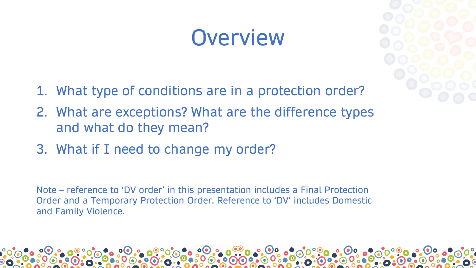### **Overview**

- 
- 1. What type of conditions are in a protection order?
- 2. What are exceptions? What are the difference types and what do they mean?
- 3. What if I need to change my order?

Note – reference to 'DV order' in this presentation includes a Final Protection Order and a Temporary Protection Order. Reference to 'DV' includes Domestic and Family Violence.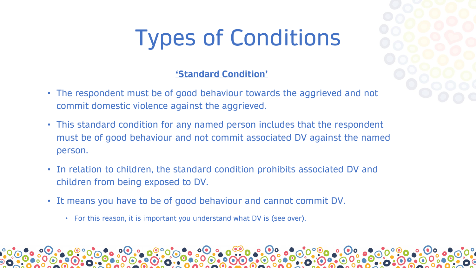## Types of Conditions

### **'Standard Condition'**

- The respondent must be of good behaviour towards the aggrieved and not commit domestic violence against the aggrieved.
- This standard condition for any named person includes that the respondent must be of good behaviour and not commit associated DV against the named person.
- In relation to children, the standard condition prohibits associated DV and children from being exposed to DV.
- It means you have to be of good behaviour and cannot commit DV.
	- For this reason, it is important you understand what DV is (see over).

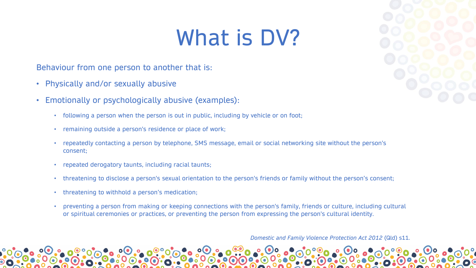### What is DV?

Behaviour from one person to another that is:

- Physically and/or sexually abusive
- Emotionally or psychologically abusive (examples):
	- following a person when the person is out in public, including by vehicle or on foot;
	- remaining outside a person's residence or place of work;
	- repeatedly contacting a person by telephone, SMS message, email or social networking site without the person's consent;
	- repeated derogatory taunts, including racial taunts;
	- threatening to disclose a person's sexual orientation to the person's friends or family without the person's consent;
	- threatening to withhold a person's medication;
	- preventing a person from making or keeping connections with the person's family, friends or culture, including cultural or spiritual ceremonies or practices, or preventing the person from expressing the person's cultural identity.

*Domestic and Family Violence Protection Act 2012* (Qld) s11.

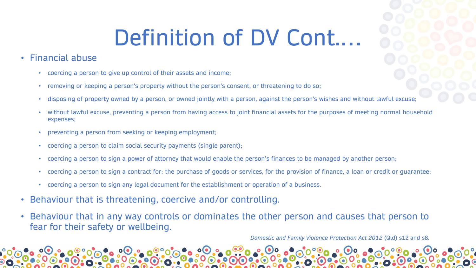### Definition of DV Cont.…

- Financial abuse
	- coercing a person to give up control of their assets and income;
	- removing or keeping a person's property without the person's consent, or threatening to do so;
	- disposing of property owned by a person, or owned jointly with a person, against the person's wishes and without lawful excuse;
	- without lawful excuse, preventing a person from having access to joint financial assets for the purposes of meeting normal household expenses;
	- preventing a person from seeking or keeping employment;
	- coercing a person to claim social security payments (single parent);
	- coercing a person to sign a power of attorney that would enable the person's finances to be managed by another person;
	- coercing a person to sign a contract for: the purchase of goods or services, for the provision of finance, a loan or credit or guarantee;
	- coercing a person to sign any legal document for the establishment or operation of a business.
- Behaviour that is threatening, coercive and/or controlling.
- Behaviour that in any way controls or dominates the other person and causes that person to fear for their safety or wellbeing.

*Domestic and Family Violence Protection Act 2012* (Qld) s12 and s8.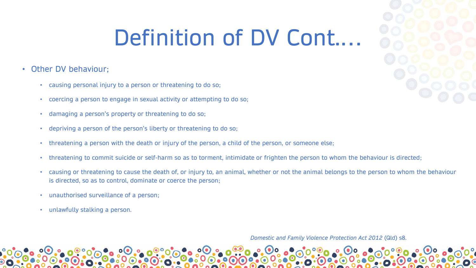### Definition of DV Cont....

### • Other DV behaviour;

- causing personal injury to a person or threatening to do so;
- coercing a person to engage in sexual activity or attempting to do so;
- damaging a person's property or threatening to do so;
- depriving a person of the person's liberty or threatening to do so;
- threatening a person with the death or injury of the person, a child of the person, or someone else;
- threatening to commit suicide or self-harm so as to torment, intimidate or frighten the person to whom the behaviour is directed;
- causing or threatening to cause the death of, or injury to, an animal, whether or not the animal belongs to the person to whom the behaviour is directed, so as to control, dominate or coerce the person;
- unauthorised surveillance of a person;
- unlawfully stalking a person.

*Domestic and Family Violence Protection Act 2012* (Qld) s8.

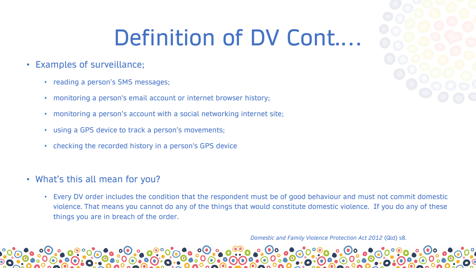## Definition of DV Cont.…

- Examples of surveillance;
	- reading a person's SMS messages;
	- monitoring a person's email account or internet browser history;
	- monitoring a person's account with a social networking internet site;
	- using a GPS device to track a person's movements;
	- checking the recorded history in a person's GPS device
- What's this all mean for you?
	- Every DV order includes the condition that the respondent must be of good behaviour and must not commit domestic violence. That means you cannot do any of the things that would constitute domestic violence. If you do any of these things you are in breach of the order.

*Domestic and Family Violence Protection Act 2012* (Qld) s8.

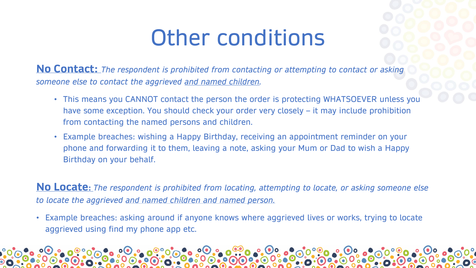### Other conditions

**No Contact:** *The respondent is prohibited from contacting or attempting to contact or asking someone else to contact the aggrieved and named children.*

- This means you CANNOT contact the person the order is protecting WHATSOEVER unless you have some exception. You should check your order very closely – it may include prohibition from contacting the named persons and children.
- Example breaches: wishing a Happy Birthday, receiving an appointment reminder on your phone and forwarding it to them, leaving a note, asking your Mum or Dad to wish a Happy Birthday on your behalf.

**No Locate:** *The respondent is prohibited from locating, attempting to locate, or asking someone else to locate the aggrieved and named children and named person.* 

• Example breaches: asking around if anyone knows where aggrieved lives or works, trying to locate aggrieved using find my phone app etc.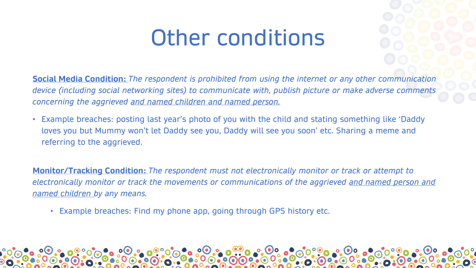### Other conditions

**Social Media Condition:** *The respondent is prohibited from using the internet or any other communication device (including social networking sites) to communicate with, publish picture or make adverse comments concerning the aggrieved and named children and named person.* 

• Example breaches: posting last year's photo of you with the child and stating something like 'Daddy loves you but Mummy won't let Daddy see you, Daddy will see you soon' etc. Sharing a meme and referring to the aggrieved.

**Monitor/Tracking Condition:** *The respondent must not electronically monitor or track or attempt to electronically monitor or track the movements or communications of the aggrieved and named person and named children by any means.*

• Example breaches: Find my phone app, going through GPS history etc.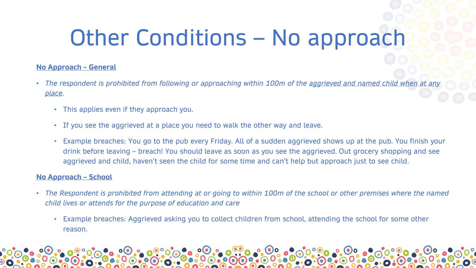## Other Conditions – No approach

### **No Approach – General**

- *The respondent is prohibited from following or approaching within 100m of the aggrieved and named child when at any place.*
	- This applies even if they approach you.
	- If you see the aggrieved at a place you need to walk the other way and leave.
	- Example breaches: You go to the pub every Friday. All of a sudden aggrieved shows up at the pub. You finish your drink before leaving – breach! You should leave as soon as you see the aggrieved. Out grocery shopping and see aggrieved and child, haven't seen the child for some time and can't help but approach just to see child.

### **No Approach – School**

- *The Respondent is prohibited from attending at or going to within 100m of the school or other premises where the named child lives or attends for the purpose of education and care*
	- Example breaches: Aggrieved asking you to collect children from school, attending the school for some other reason.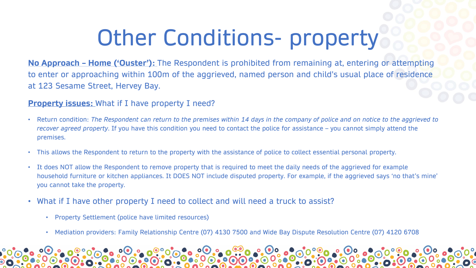## Other Conditions- property

**No Approach – Home ('Ouster'):** The Respondent is prohibited from remaining at, entering or attempting to enter or approaching within 100m of the aggrieved, named person and child's usual place of residence at 123 Sesame Street, Hervey Bay.

### **Property issues:** What if I have property I need?

- Return condition: *The Respondent can return to the premises within 14 days in the company of police and on notice to the aggrieved to recover agreed property*. If you have this condition you need to contact the police for assistance – you cannot simply attend the premises.
- This allows the Respondent to return to the property with the assistance of police to collect essential personal property.
- It does NOT allow the Respondent to remove property that is required to meet the daily needs of the aggrieved for example household furniture or kitchen appliances. It DOES NOT include disputed property. For example, if the aggrieved says 'no that's mine' you cannot take the property.
- What if I have other property I need to collect and will need a truck to assist?
	- Property Settlement (police have limited resources)
	- Mediation providers: Family Relationship Centre (07) 4130 7500 and Wide Bay Dispute Resolution Centre (07) 4120 6708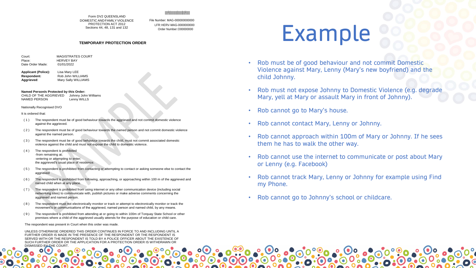### IIIIIIfIIIlIIIIIIIIIIIIIllIIIIIIIIllIIIlIfIIIIIIII

Form DV2 QUEENSLAND DOMESTIC ANDFAMILYVIOLENCE PROTECTION ACT 2012 Sections 44, 48, 131 and 132

File Number: MAG-000000000000 LFR:HERV-MAG-0000000000 Order Number:O00000000

### **TEMPORARY PROTECTION ORDER**

| Court:           | <b>MAGISTRATES COURT</b> |
|------------------|--------------------------|
| Place:           | <b>HERVEY BAY</b>        |
| Date Order Made: | 01/01/2022               |

**Applicant (Police):** Lisa Mary LEE **Respondent:** Rob John WILLIAMS<br> **Aggrieved:** Mary Sally WILLIAMS **Mary Sally WILLIAMS** 

### **Named Person/s Protected by this Order:**

CHILD OF THE AGGRIEVED Johnny John Williams NAMED PERSON Lenny WILLS

### Nationally Recognised DVO

It is ordered that:

- ( 1 ) The respondent must be of good behaviour towards the aggrieved and not commit domestic violence against the aggrieved.
- ( 2 ) The respondent must be of good behaviour towards the named person and not commit domestic violence against the named person.
- ( 3 ) The respondent must be of good behaviour towards the child, must not commit associated domestic violence against the child and must not expose the child to domestic violence.
- ( 4 ) The respondent is prohibited -from remaining at; -entering or attempting to enter; the aggrieved's usual place of residence.
- ( 5 ) The respondent is prohibited from contacting or attempting to contact or asking someone else to contact the aggrieved
- ( 6 ) The respondent is prohibited from following, approaching, or approaching within 100 m of the aggrieved and named child when at any place.
- ( 7 ) The respondent is prohibited from using internet or any other communication device (including social networking sites) to communicate with, publish pictures or make adverse comments concerning the aggrieved and named person.
- ( 8 ) The respondent must not electronically monitor or track or attempt to electronically monitor or track the movement's or communications of the aggrieved, named person and named child, by any means.
- ( 9 ) The respondent is prohibited from attending at or going to within 100m of Torquay State School or other premises where a child of the aggrieved usually attends for the purpose of education or child care.

The respondent was present in Court when this order was made.

UNLESS OTHERWISE ORDERED THIS ORDER CONTINUES IN FORCE TO AND INCLUDING UNTIL A FURTHER ORDER IS MADE IN THE PRESENCE OF THE RESPONDENT OR THE RESPONDENT IS SERVED WITH OR THE RESPONDENT IS TOLD BY A POLICE OFFICER ABOUT THE EXISTENCE OF SUCH FURTHER ORDER OR THE APPLICATION FOR A PROTECTION ORDER IS WITHDRAWN OR DISMISSED BY THE COURT

### Example

- Rob must be of good behaviour and not commit Domestic Violence against Mary, Lenny (Mary's new boyfriend) and the child Johnny.
- Rob must not expose Johnny to Domestic Violence (e.g. degrade Mary, yell at Mary or assault Mary in front of Johnny).
- Rob cannot go to Mary's house.
- Rob cannot contact Mary, Lenny or Johnny.
- Rob cannot approach within 100m of Mary or Johnny. If he sees them he has to walk the other way.
- Rob cannot use the internet to communicate or post about Mary or Lenny (e.g. Facebook)
- Rob cannot track Mary, Lenny or Johnny for example using Find my Phone.
- Rob cannot go to Johnny's school or childcare.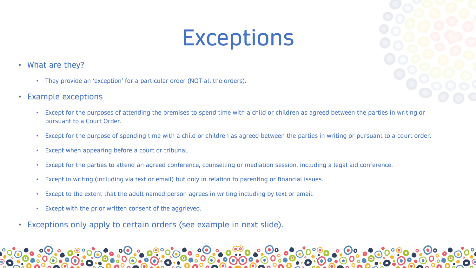### **Exceptions**

- What are they?
	- They provide an 'exception' for a particular order (NOT all the orders).
- Example exceptions
	- Except for the purposes of attending the premises to spend time with a child or children as agreed between the parties in writing or pursuant to a Court Order.
	- Except for the purpose of spending time with a child or children as agreed between the parties in writing or pursuant to a court order.
	- Except when appearing before a court or tribunal.
	- Except for the parties to attend an agreed conference, counselling or mediation session, including a legal aid conference.
	- Except in writing (including via text or email) but only in relation to parenting or financial issues.
	- Except to the extent that the adult named person agrees in writing including by text or email.
	- Except with the prior written consent of the aggrieved.
- Exceptions only apply to certain orders (see example in next slide).

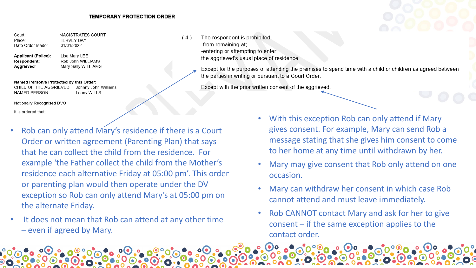Court: **MAGISTRATES COURT HERVEY BAY** Place: 01/01/2022 Date Order Made:

**Applicant (Police):** Lisa Mary LEE Respondent: Aggrieved:

Rob John WILLIAMS Mary Sally WILLIAMS

### Named Person/s Protected by this Order:

CHILD OF THE AGGRIEVED Johnny John Williams NAMED PERSON Lenny WILLS

Nationally Recognised DVO

It is ordered that:

- Rob can only attend Mary's residence if there is a Court Order or written agreement (Parenting Plan) that says that he can collect the child from the residence. For example 'the Father collect the child from the Mother's residence each alternative Friday at 05:00 pm'. This order or parenting plan would then operate under the DV exception so Rob can only attend Mary's at 05:00 pm on the alternate Friday.
- It does not mean that Rob can attend at any other time – even if agreed by Mary.

The respondent is prohibited  $(4)$ -from remaining at; -entering or attempting to enter; the aggrieved's usual place of residence.

> Except for the purposes of attending the premises to spend time with a child or children as agreed between the parties in writing or pursuant to a Court Order.

Except with the prior written consent of the aggrieved.

- With this exception Rob can only attend if Mary gives consent. For example, Mary can send Rob a message stating that she gives him consent to come to her home at any time until withdrawn by her.
- Mary may give consent that Rob only attend on one occasion.
- Mary can withdraw her consent in which case Rob cannot attend and must leave immediately.
- Rob CANNOT contact Mary and ask for her to give consent – if the same exception applies to the contact order.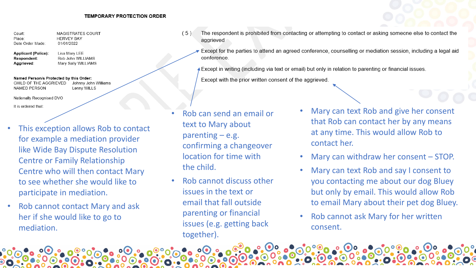Court: MAGISTRATES COURT Place: **HERVEY BAY** Date Order Made: 01/01/2022

**Applicant (Police):** Lisa Mary LEE Respondent: Aggrieved:

Rob John WILLIAMS Mary Sally WILLIAMS

Named Person/s Protected by this Order: CHILD OF THE AGGRIEVED Johnny John Williams

**NAMED PERSON** Lenny WILLS

Nationally Recognised DVO

It is ordered that:

- This exception allows Rob to contact for example a mediation provider like Wide Bay Dispute Resolution Centre or Family Relationship Centre who will then contact Mary to see whether she would like to participate in mediation.
- Rob cannot contact Mary and ask her if she would like to go to mediation.

The respondent is prohibited from contacting or attempting to contact or asking someone else to contact the  $(5)$ aggrieved

Except for the parties to attend an agreed conference, counselling or mediation session, including a legal aid conference.

Except in writing (including via text or email) but only in relation to parenting or financial issues.

Except with the prior written consent of the aggrieved.

- Rob can send an email or text to Mary about parenting  $-$  e.g. confirming a changeover location for time with the child.
- Rob cannot discuss other issues in the text or email that fall outside parenting or financial issues (e.g. getting back together).
- Mary can text Rob and give her consent that Rob can contact her by any means at any time. This would allow Rob to contact her.
- Mary can withdraw her consent STOP.
- Mary can text Rob and say I consent to you contacting me about our dog Bluey but only by email. This would allow Rob to email Mary about their pet dog Bluey.
- Rob cannot ask Mary for her written consent.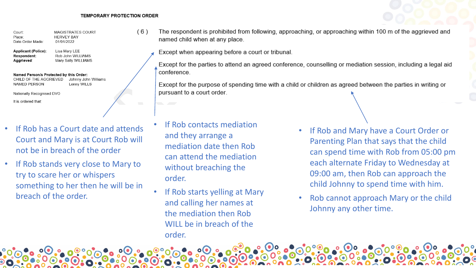$(6)$ 

Court: MAGISTRATES COURT **HERVEY BAY** Place: 01/01/2022 Date Order Made:

**Applicant (Police):** Lisa Mary LEE Respondent: Rob John WILLIAMS Mary Sally WILLIAMS Aggrieved:

Named Person/s Protected by this Order:

CHILD OF THE AGGRIEVED Johnny John Williams NAMED PERSON Lenny WILLS

Nationally Recognised DVO

It is ordered that:

- If Rob has a Court date and attends Court and Mary is at Court Rob will not be in breach of the order
- If Rob stands very close to Mary to try to scare her or whispers something to her then he will be in breach of the order.

The respondent is prohibited from following, approaching, or approaching within 100 m of the aggrieved and named child when at any place.

Except when appearing before a court or tribunal.

Except for the parties to attend an agreed conference, counselling or mediation session, including a legal aid conference.

Except for the purpose of spending time with a child or children as agreed between the parties in writing or pursuant to a court order.

- If Rob contacts mediation and they arrange a mediation date then Rob can attend the mediation without breaching the order.
- If Rob starts yelling at Mary and calling her names at the mediation then Rob WILL be in breach of the order.
- If Rob and Mary have a Court Order or Parenting Plan that says that the child can spend time with Rob from 05:00 pm each alternate Friday to Wednesday at 09:00 am, then Rob can approach the child Johnny to spend time with him.
- Rob cannot approach Mary or the child Johnny any other time.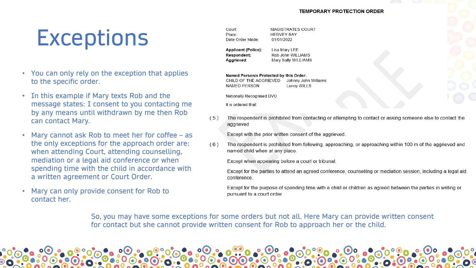### **Exceptions**

- You can only rely on the exception that applies to the specific order.
- In this example if Mary texts Rob and the message states: I consent to you contacting me by any means until withdrawn by me then Rob can contact Mary.
- Mary cannot ask Rob to meet her for coffee as the only exceptions for the approach order are: when attending Court, attending counselling, mediation or a legal aid conference or when spending time with the child in accordance with a written agreement or Court Order.
- Mary can only provide consent for Rob to contact her.

MAGISTRATES COURT Court: **HERVEY BAY** Place: 01/01/2022 Date Order Made:

**Applicant (Police):** Lisa Mary LEE Respondent: Rob John WILLIAMS Aggrieved: Mary Sally WILLIAMS

### Named Person/s Protected by this Order:

Johnny John Williams CHILD OF THE AGGRIEVED Lenny WILLS NAMED PERSON

Nationally Recognised DVO

It is ordered that:

The respondent is prohibited from contacting or attempting to contact or asking someone else to contact the  $(5)$ aggrieved

Except with the prior written consent of the aggrieved.

 $(6)$ The respondent is prohibited from following, approaching, or approaching within 100 m of the aggrieved and named child when at any place.

Except when appearing before a court or tribunal.

Except for the parties to attend an agreed conference, counselling or mediation session, including a legal aid conference.

Except for the purpose of spending time with a child or children as agreed between the parties in writing or pursuant to a court order.

So, you may have some exceptions for some orders but not all. Here Mary can provide written consent for contact but she cannot provide written consent for Rob to approach her or the child.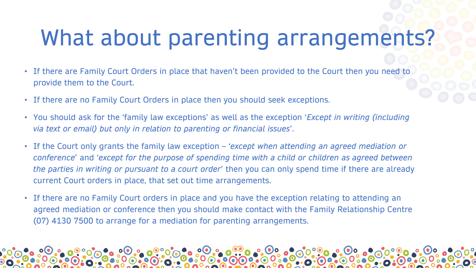## What about parenting arrangements?

- If there are Family Court Orders in place that haven't been provided to the Court then you need to provide them to the Court.
- If there are no Family Court Orders in place then you should seek exceptions.
- You should ask for the 'family law exceptions' as well as the exception '*Except in writing (including via text or email) but only in relation to parenting or financial issues*'.
- If the Court only grants the family law exception '*except when attending an agreed mediation or conference*' and '*except for the purpose of spending time with a child or children as agreed between the parties in writing or pursuant to a court order*' then you can only spend time if there are already current Court orders in place, that set out time arrangements.
- If there are no Family Court orders in place and you have the exception relating to attending an agreed mediation or conference then you should make contact with the Family Relationship Centre (07) 4130 7500 to arrange for a mediation for parenting arrangements.

 $\bullet$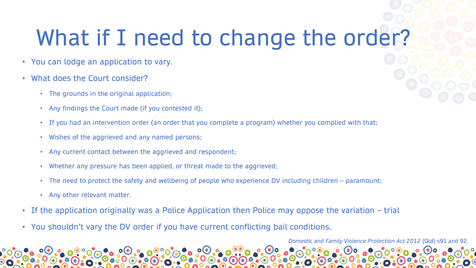## What if I need to change the order?

- You can lodge an application to vary.
- What does the Court consider?
	- The grounds in the original application;
	- Any findings the Court made (if you contested it);
	- If you had an intervention order (an order that you complete a program) whether you complied with that;
	- Wishes of the aggrieved and any named persons;
	- Any current contact between the aggrieved and respondent;
	- Whether any pressure has been applied, or threat made to the aggrieved;
	- The need to protect the safety and wellbeing of people who experience DV including children paramount;
	- Any other relevant matter.
- If the application originally was a Police Application then Police may oppose the variation trial
- You shouldn't vary the DV order if you have current conflicting bail conditions.

*Domestic and Family Violence Protection Act 2012* (Qld) s91 and 92.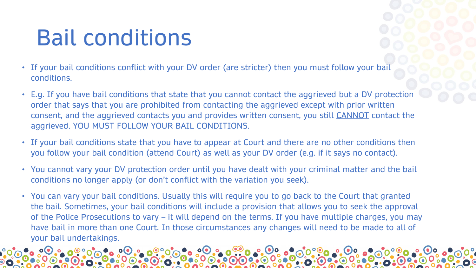## Bail conditions

- If your bail conditions conflict with your DV order (are stricter) then you must follow your bail conditions.
- E.g. If you have bail conditions that state that you cannot contact the aggrieved but a DV protection order that says that you are prohibited from contacting the aggrieved except with prior written consent, and the aggrieved contacts you and provides written consent, you still CANNOT contact the aggrieved. YOU MUST FOLLOW YOUR BAIL CONDITIONS.
- If your bail conditions state that you have to appear at Court and there are no other conditions then you follow your bail condition (attend Court) as well as your DV order (e.g. if it says no contact).
- You cannot vary your DV protection order until you have dealt with your criminal matter and the bail conditions no longer apply (or don't conflict with the variation you seek).
- You can vary your bail conditions. Usually this will require you to go back to the Court that granted the bail. Sometimes, your bail conditions will include a provision that allows you to seek the approval of the Police Prosecutions to vary – it will depend on the terms. If you have multiple charges, you may have bail in more than one Court. In those circumstances any changes will need to be made to all of your bail undertakings.

 $\bullet$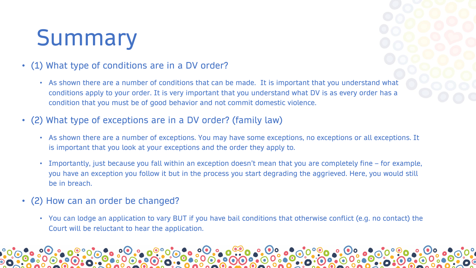## Summary

### • (1) What type of conditions are in a DV order?

- As shown there are a number of conditions that can be made. It is important that you understand what conditions apply to your order. It is very important that you understand what DV is as every order has a condition that you must be of good behavior and not commit domestic violence.
- (2) What type of exceptions are in a DV order? (family law)
	- As shown there are a number of exceptions. You may have some exceptions, no exceptions or all exceptions. It is important that you look at your exceptions and the order they apply to.
	- Importantly, just because you fall within an exception doesn't mean that you are completely fine for example, you have an exception you follow it but in the process you start degrading the aggrieved. Here, you would still be in breach.
- (2) How can an order be changed?
	- You can lodge an application to vary BUT if you have bail conditions that otherwise conflict (e.g. no contact) the Court will be reluctant to hear the application.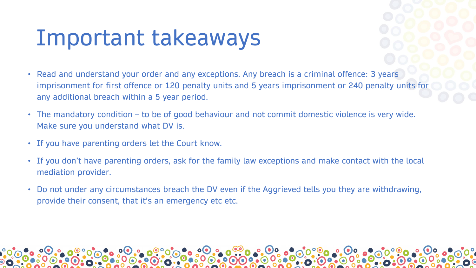### Important takeaways

- Read and understand your order and any exceptions. Any breach is a criminal offence: 3 years imprisonment for first offence or 120 penalty units and 5 years imprisonment or 240 penalty units for any additional breach within a 5 year period.
- The mandatory condition to be of good behaviour and not commit domestic violence is very wide. Make sure you understand what DV is.
- If you have parenting orders let the Court know.
- If you don't have parenting orders, ask for the family law exceptions and make contact with the local mediation provider.
- Do not under any circumstances breach the DV even if the Aggrieved tells you they are withdrawing, provide their consent, that it's an emergency etc etc.